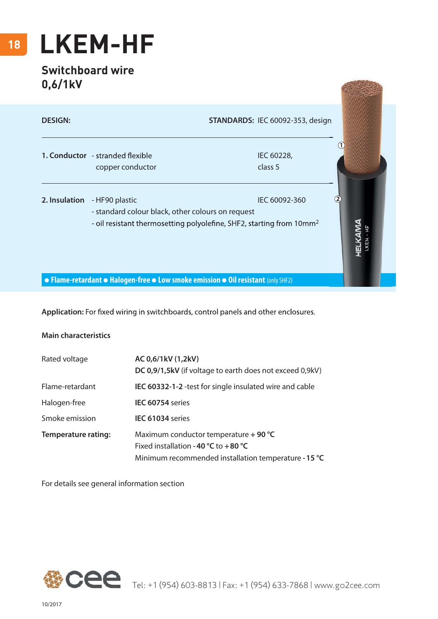## **18 LKEM-HF**

## **Switchboard wire 0,6/1kV**

| U,O/ IKV       |                                                                                                                                                         |                                  |  |
|----------------|---------------------------------------------------------------------------------------------------------------------------------------------------------|----------------------------------|--|
| <b>DESIGN:</b> |                                                                                                                                                         | STANDARDS: IEC 60092-353, design |  |
|                | 1. Conductor - stranded flexible<br>copper conductor                                                                                                    | IEC 60228,<br>class 5            |  |
| 2. Insulation  | - HF90 plastic<br>- standard colour black, other colours on request<br>- oil resistant thermosetting polyolefine, SHF2, starting from 10mm <sup>2</sup> |                                  |  |
|                | • Flame-retardant • Halogen-free • Low smoke emission • Oil resistant (only SHF2)                                                                       |                                  |  |

**HARASSETS** 

Application: For fixed wiring in switchboards, control panels and other enclosures.

## **Main characteristics**

| Rated voltage              | AC 0,6/1kV (1,2kV)<br>DC 0,9/1,5kV (if voltage to earth does not exceed 0,9kV)                                                            |
|----------------------------|-------------------------------------------------------------------------------------------------------------------------------------------|
| Flame-retardant            | <b>IEC 60332-1-2</b> -test for single insulated wire and cable                                                                            |
| Halogen-free               | IEC 60754 series                                                                                                                          |
| Smoke emission             | IEC 61034 series                                                                                                                          |
| <b>Temperature rating:</b> | Maximum conductor temperature $+$ 90 °C<br>Fixed installation - 40 °C to $+80$ °C<br>Minimum recommended installation temperature - 15 °C |

For details see general information section